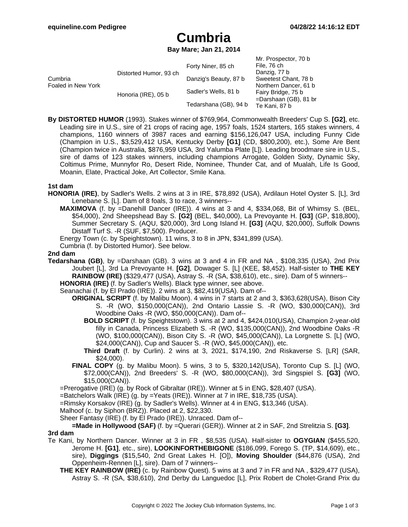## **Cumbria**

**Bay Mare; Jan 21, 2014**

|                               |                        |                       | Mr. Prospector, 70 b     |
|-------------------------------|------------------------|-----------------------|--------------------------|
| Cumbria<br>Foaled in New York | Distorted Humor, 93 ch | Forty Niner, 85 ch    | File, 76 ch              |
|                               |                        |                       | Danzig, 77 b             |
|                               |                        | Danzig's Beauty, 87 b | Sweetest Chant, 78 b     |
|                               |                        |                       | Northern Dancer, 61 b    |
|                               | Honoria (IRE), 05 b    | Sadler's Wells, 81 b  | Fairy Bridge, 75 b       |
|                               |                        |                       | $=$ Darshaan (GB), 81 br |
|                               |                        | Tedarshana (GB), 94 b | Te Kani, 87 b            |

**By DISTORTED HUMOR** (1993). Stakes winner of \$769,964, Commonwealth Breeders' Cup S. **[G2]**, etc. Leading sire in U.S., sire of 21 crops of racing age, 1957 foals, 1524 starters, 165 stakes winners, 4 champions, 1160 winners of 3987 races and earning \$156,126,047 USA, including Funny Cide (Champion in U.S., \$3,529,412 USA, Kentucky Derby **[G1]** (CD, \$800,200), etc.), Some Are Bent (Champion twice in Australia, \$876,959 USA, 3rd Yalumba Plate [L]). Leading broodmare sire in U.S., sire of dams of 123 stakes winners, including champions Arrogate, Golden Sixty, Dynamic Sky, Coltimus Prime, Munnyfor Ro, Desert Ride, Nominee, Thunder Cat, and of Mualah, Life Is Good, Moanin, Elate, Practical Joke, Art Collector, Smile Kana.

### **1st dam**

- **HONORIA (IRE)**, by Sadler's Wells. 2 wins at 3 in IRE, \$78,892 (USA), Ardilaun Hotel Oyster S. [L], 3rd Lenebane S. [L]. Dam of 8 foals, 3 to race, 3 winners--
	- **MAXIMOVA** (f. by =Danehill Dancer (IRE)). 4 wins at 3 and 4, \$334,068, Bit of Whimsy S. (BEL, \$54,000), 2nd Sheepshead Bay S. **[G2]** (BEL, \$40,000), La Prevoyante H. **[G3]** (GP, \$18,800), Summer Secretary S. (AQU, \$20,000), 3rd Long Island H. **[G3]** (AQU, \$20,000), Suffolk Downs Distaff Turf S. -R (SUF, \$7,500). Producer.
	- Energy Town (c. by Speightstown). 11 wins, 3 to 8 in JPN, \$341,899 (USA).

Cumbria (f. by Distorted Humor). See below.

#### **2nd dam**

**Tedarshana (GB)**, by =Darshaan (GB). 3 wins at 3 and 4 in FR and NA , \$108,335 (USA), 2nd Prix Joubert [L], 3rd La Prevoyante H. **[G2]**, Dowager S. [L] (KEE, \$8,452). Half-sister to **THE KEY RAINBOW (IRE)** (\$329,477 (USA), Astray S. -R (SA, \$38,610), etc., sire). Dam of 5 winners--

**HONORIA (IRE)** (f. by Sadler's Wells). Black type winner, see above.

- Seanachai (f. by El Prado (IRE)). 2 wins at 3, \$82,419(USA). Dam of--
	- **ORIGINAL SCRIPT** (f. by Malibu Moon). 4 wins in 7 starts at 2 and 3, \$363,628(USA), Bison City S. -R (WO, \$150,000(CAN)), 2nd Ontario Lassie S. -R (WO, \$30,000(CAN)), 3rd Woodbine Oaks -R (WO, \$50,000(CAN)). Dam of--
		- **BOLD SCRIPT** (f. by Speightstown). 3 wins at 2 and 4, \$424,010(USA), Champion 2-year-old filly in Canada, Princess Elizabeth S. -R (WO, \$135,000(CAN)), 2nd Woodbine Oaks -R (WO, \$100,000(CAN)), Bison City S. -R (WO, \$45,000(CAN)), La Lorgnette S. [L] (WO, \$24,000(CAN)), Cup and Saucer S. -R (WO, \$45,000(CAN)), etc.
		- **Third Draft** (f. by Curlin). 2 wins at 3, 2021, \$174,190, 2nd Riskaverse S. [LR] (SAR, \$24,000).
	- **FINAL COPY** (g. by Malibu Moon). 5 wins, 3 to 5, \$320,142(USA), Toronto Cup S. [L] (WO, \$72,000(CAN)), 2nd Breeders' S. -R (WO, \$80,000(CAN)), 3rd Singspiel S. **[G3]** (WO, \$15,000(CAN)).

=Prerogative (IRE) (g. by Rock of Gibraltar (IRE)). Winner at 5 in ENG, \$28,407 (USA).

- =Batchelors Walk (IRE) (g. by =Yeats (IRE)). Winner at 7 in IRE, \$18,735 (USA).
- =Rimsky Korsakov (IRE) (g. by Sadler's Wells). Winner at 4 in ENG, \$13,346 (USA).
- Malhoof (c. by Siphon (BRZ)). Placed at 2, \$22,330.
- Sheer Fantasy (IRE) (f. by El Prado (IRE)). Unraced. Dam of--

**=Made in Hollywood (SAF)** (f. by =Querari (GER)). Winner at 2 in SAF, 2nd Strelitzia S. **[G3]**.

#### **3rd dam**

- Te Kani, by Northern Dancer. Winner at 3 in FR , \$8,535 (USA). Half-sister to **OGYGIAN** (\$455,520, Jerome H. **[G1]**, etc., sire), **LOOKINFORTHEBIGONE** (\$186,099, Forego S. (TP, \$14,609), etc., sire), **Diggings** (\$15,540, 2nd Great Lakes H. [O]), **Moving Shoulder** (\$44,876 (USA), 2nd Oppenheim-Rennen [L], sire). Dam of 7 winners--
	- **THE KEY RAINBOW (IRE)** (c. by Rainbow Quest). 5 wins at 3 and 7 in FR and NA , \$329,477 (USA), Astray S. -R (SA, \$38,610), 2nd Derby du Languedoc [L], Prix Robert de Cholet-Grand Prix du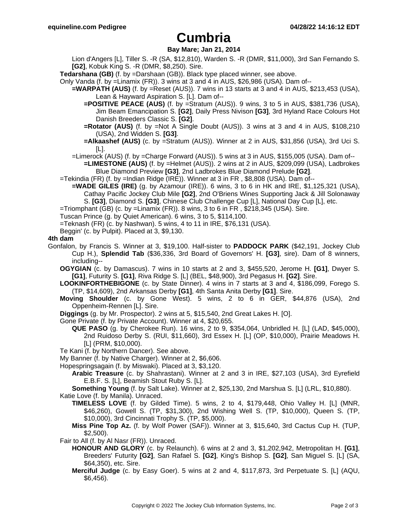## **Cumbria**

## **Bay Mare; Jan 21, 2014**

Lion d'Angers [L], Tiller S. -R (SA, \$12,810), Warden S. -R (DMR, \$11,000), 3rd San Fernando S. **[G2]**, Kobuk King S. -R (DMR, \$8,250). Sire.

- **Tedarshana (GB)** (f. by =Darshaan (GB)). Black type placed winner, see above.
- Only Vanda (f. by =Linamix (FR)). 3 wins at 3 and 4 in AUS, \$26,986 (USA). Dam of--
	- **=WARPATH (AUS)** (f. by =Reset (AUS)). 7 wins in 13 starts at 3 and 4 in AUS, \$213,453 (USA), Lean & Hayward Aspiration S. [L]. Dam of--
		- **=POSITIVE PEACE (AUS)** (f. by =Stratum (AUS)). 9 wins, 3 to 5 in AUS, \$381,736 (USA), Jim Beam Emancipation S. **[G2]**, Daily Press Nivison **[G3]**, 3rd Hyland Race Colours Hot Danish Breeders Classic S. **[G2]**.
		- **=Rotator (AUS)** (f. by =Not A Single Doubt (AUS)). 3 wins at 3 and 4 in AUS, \$108,210 (USA), 2nd Widden S. **[G3]**.
		- **=Alkaashef (AUS)** (c. by =Stratum (AUS)). Winner at 2 in AUS, \$31,856 (USA), 3rd Uci S.  $[L]$ .
	- =Limerock (AUS) (f. by =Charge Forward (AUS)). 5 wins at 3 in AUS, \$155,005 (USA). Dam of--
		- **=LIMESTONE (AUS)** (f. by =Helmet (AUS)). 2 wins at 2 in AUS, \$209,099 (USA), Ladbrokes Blue Diamond Preview **[G3]**, 2nd Ladbrokes Blue Diamond Prelude **[G2]**.
- =Tekindia (FR) (f. by =Indian Ridge (IRE)). Winner at 3 in FR , \$8,808 (USA). Dam of--
	- **=WADE GILES (IRE)** (g. by Azamour (IRE)). 6 wins, 3 to 6 in HK and IRE, \$1,125,321 (USA), Cathay Pacific Jockey Club Mile **[G2]**, 2nd O'Briens Wines Supporting Jack & Jill Solonaway S. **[G3]**, Diamond S. **[G3]**, Chinese Club Challenge Cup [L], National Day Cup [L], etc.
- $=$ Triomphant (GB) (c. by  $=$ Linamix (FR)). 8 wins, 3 to 6 in FR, \$218,345 (USA). Sire.
- Tuscan Prince (g. by Quiet American). 6 wins, 3 to 5, \$114,100.
- =Teknash (FR) (c. by Nashwan). 5 wins, 4 to 11 in IRE, \$76,131 (USA).
- Beggin' (c. by Pulpit). Placed at 3, \$9,130.

#### **4th dam**

- Gonfalon, by Francis S. Winner at 3, \$19,100. Half-sister to **PADDOCK PARK** (\$42,191, Jockey Club Cup H.), **Splendid Tab** (\$36,336, 3rd Board of Governors' H. **[G3]**, sire). Dam of 8 winners, including--
	- **OGYGIAN** (c. by Damascus). 7 wins in 10 starts at 2 and 3, \$455,520, Jerome H. **[G1]**, Dwyer S. **[G1]**, Futurity S. **[G1]**, Riva Ridge S. [L] (BEL, \$48,900), 3rd Pegasus H. **[G2]**. Sire.
	- **LOOKINFORTHEBIGONE** (c. by State Dinner). 4 wins in 7 starts at 3 and 4, \$186,099, Forego S. (TP, \$14,609), 2nd Arkansas Derby **[G1]**, 4th Santa Anita Derby **[G1]**. Sire.
	- **Moving Shoulder** (c. by Gone West). 5 wins, 2 to 6 in GER, \$44,876 (USA), 2nd Oppenheim-Rennen [L]. Sire.
	- **Diggings** (g. by Mr. Prospector). 2 wins at 5, \$15,540, 2nd Great Lakes H. [O].
	- Gone Private (f. by Private Account). Winner at 4, \$20,655.
		- **QUE PASO** (g. by Cherokee Run). 16 wins, 2 to 9, \$354,064, Unbridled H. [L] (LAD, \$45,000), 2nd Ruidoso Derby S. (RUI, \$11,660), 3rd Essex H. [L] (OP, \$10,000), Prairie Meadows H. [L] (PRM, \$10,000).
	- Te Kani (f. by Northern Dancer). See above.
	- My Banner (f. by Native Charger). Winner at 2, \$6,606.
	- Hopespringsagain (f. by Miswaki). Placed at 3, \$3,120.
		- **Arabic Treasure** (c. by Shahrastani). Winner at 2 and 3 in IRE, \$27,103 (USA), 3rd Eyrefield E.B.F. S. [L], Beamish Stout Ruby S. [L].

**Something Young** (f. by Salt Lake). Winner at 2, \$25,130, 2nd Marshua S. [L] (LRL, \$10,880). Katie Love (f. by Manila). Unraced.

- **TIMELESS LOVE** (f. by Gilded Time). 5 wins, 2 to 4, \$179,448, Ohio Valley H. [L] (MNR, \$46,260), Gowell S. (TP, \$31,300), 2nd Wishing Well S. (TP, \$10,000), Queen S. (TP, \$10,000), 3rd Cincinnati Trophy S. (TP, \$5,000).
	- **Miss Pine Top Az.** (f. by Wolf Power (SAF)). Winner at 3, \$15,640, 3rd Cactus Cup H. (TUP, \$2,500).
- Fair to All (f. by Al Nasr (FR)). Unraced.
	- **HONOUR AND GLORY** (c. by Relaunch). 6 wins at 2 and 3, \$1,202,942, Metropolitan H. **[G1]**, Breeders' Futurity **[G2]**, San Rafael S. **[G2]**, King's Bishop S. **[G2]**, San Miguel S. [L] (SA, \$64,350), etc. Sire.
	- **Merciful Judge** (c. by Easy Goer). 5 wins at 2 and 4, \$117,873, 3rd Perpetuate S. [L] (AQU, \$6,456).